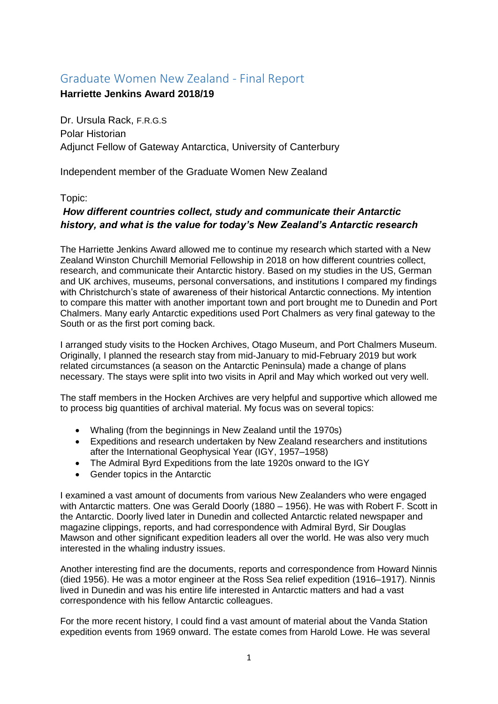## Graduate Women New Zealand - Final Report

## **Harriette Jenkins Award 2018/19**

Dr. Ursula Rack, F.R.G.S Polar Historian Adjunct Fellow of Gateway Antarctica, University of Canterbury

Independent member of the Graduate Women New Zealand

## Topic:

## *How different countries collect, study and communicate their Antarctic history, and what is the value for today's New Zealand's Antarctic research*

The Harriette Jenkins Award allowed me to continue my research which started with a New Zealand Winston Churchill Memorial Fellowship in 2018 on how different countries collect, research, and communicate their Antarctic history. Based on my studies in the US, German and UK archives, museums, personal conversations, and institutions I compared my findings with Christchurch's state of awareness of their historical Antarctic connections. My intention to compare this matter with another important town and port brought me to Dunedin and Port Chalmers. Many early Antarctic expeditions used Port Chalmers as very final gateway to the South or as the first port coming back.

I arranged study visits to the Hocken Archives, Otago Museum, and Port Chalmers Museum. Originally, I planned the research stay from mid-January to mid-February 2019 but work related circumstances (a season on the Antarctic Peninsula) made a change of plans necessary. The stays were split into two visits in April and May which worked out very well.

The staff members in the Hocken Archives are very helpful and supportive which allowed me to process big quantities of archival material. My focus was on several topics:

- Whaling (from the beginnings in New Zealand until the 1970s)
- Expeditions and research undertaken by New Zealand researchers and institutions after the International Geophysical Year (IGY, 1957–1958)
- The Admiral Byrd Expeditions from the late 1920s onward to the IGY
- Gender topics in the Antarctic

I examined a vast amount of documents from various New Zealanders who were engaged with Antarctic matters. One was Gerald Doorly (1880 – 1956). He was with Robert F. Scott in the Antarctic. Doorly lived later in Dunedin and collected Antarctic related newspaper and magazine clippings, reports, and had correspondence with Admiral Byrd, Sir Douglas Mawson and other significant expedition leaders all over the world. He was also very much interested in the whaling industry issues.

Another interesting find are the documents, reports and correspondence from Howard Ninnis (died 1956). He was a motor engineer at the Ross Sea relief expedition (1916–1917). Ninnis lived in Dunedin and was his entire life interested in Antarctic matters and had a vast correspondence with his fellow Antarctic colleagues.

For the more recent history, I could find a vast amount of material about the Vanda Station expedition events from 1969 onward. The estate comes from Harold Lowe. He was several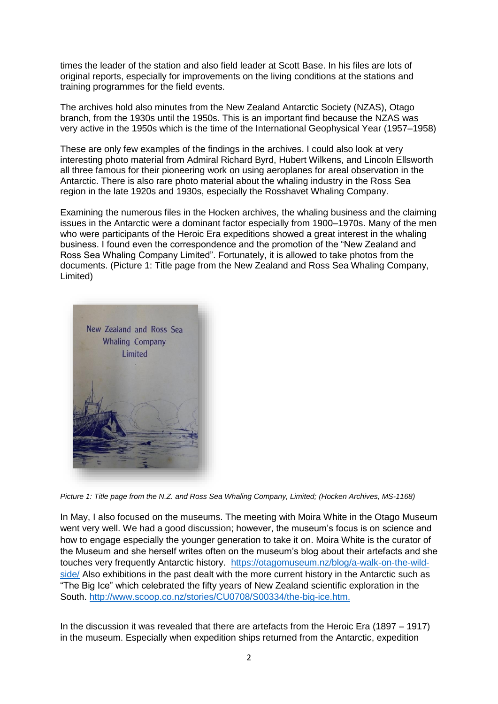times the leader of the station and also field leader at Scott Base. In his files are lots of original reports, especially for improvements on the living conditions at the stations and training programmes for the field events.

The archives hold also minutes from the New Zealand Antarctic Society (NZAS), Otago branch, from the 1930s until the 1950s. This is an important find because the NZAS was very active in the 1950s which is the time of the International Geophysical Year (1957–1958)

These are only few examples of the findings in the archives. I could also look at very interesting photo material from Admiral Richard Byrd, Hubert Wilkens, and Lincoln Ellsworth all three famous for their pioneering work on using aeroplanes for areal observation in the Antarctic. There is also rare photo material about the whaling industry in the Ross Sea region in the late 1920s and 1930s, especially the Rosshavet Whaling Company.

Examining the numerous files in the Hocken archives, the whaling business and the claiming issues in the Antarctic were a dominant factor especially from 1900–1970s. Many of the men who were participants of the Heroic Era expeditions showed a great interest in the whaling business. I found even the correspondence and the promotion of the "New Zealand and Ross Sea Whaling Company Limited". Fortunately, it is allowed to take photos from the documents. (Picture 1: Title page from the New Zealand and Ross Sea Whaling Company, Limited)



*Picture 1: Title page from the N.Z. and Ross Sea Whaling Company, Limited; (Hocken Archives, MS-1168)*

In May, I also focused on the museums. The meeting with Moira White in the Otago Museum went very well. We had a good discussion; however, the museum's focus is on science and how to engage especially the younger generation to take it on. Moira White is the curator of the Museum and she herself writes often on the museum's blog about their artefacts and she touches very frequently Antarctic history. [https://otagomuseum.nz/blog/a-walk-on-the-wild](https://otagomuseum.nz/blog/a-walk-on-the-wild-side/)[side/](https://otagomuseum.nz/blog/a-walk-on-the-wild-side/) Also exhibitions in the past dealt with the more current history in the Antarctic such as "The Big Ice" which celebrated the fifty years of New Zealand scientific exploration in the South. [http://www.scoop.co.nz/stories/CU0708/S00334/the-big-ice.htm.](http://www.scoop.co.nz/stories/CU0708/S00334/the-big-ice.htm)

In the discussion it was revealed that there are artefacts from the Heroic Era (1897 – 1917) in the museum. Especially when expedition ships returned from the Antarctic, expedition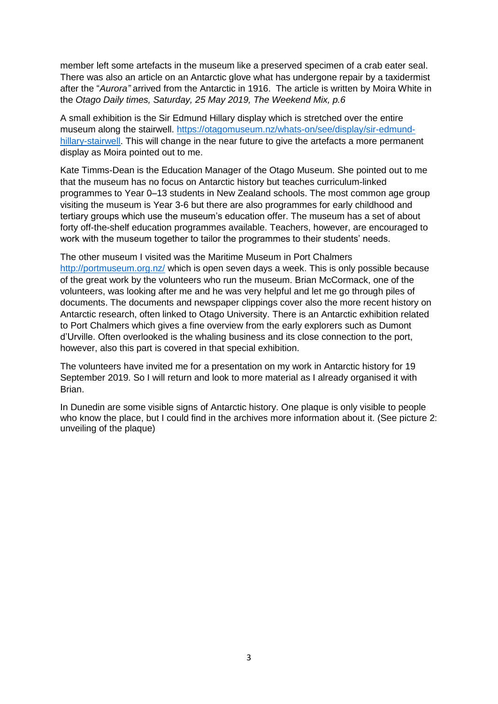member left some artefacts in the museum like a preserved specimen of a crab eater seal. There was also an article on an Antarctic glove what has undergone repair by a taxidermist after the "*Aurora"* arrived from the Antarctic in 1916. The article is written by Moira White in the *Otago Daily times, Saturday, 25 May 2019, The Weekend Mix, p.6*

A small exhibition is the Sir Edmund Hillary display which is stretched over the entire museum along the stairwell. [https://otagomuseum.nz/whats-on/see/display/sir-edmund](https://otagomuseum.nz/whats-on/see/display/sir-edmund-hillary-stairwell)[hillary-stairwell.](https://otagomuseum.nz/whats-on/see/display/sir-edmund-hillary-stairwell) This will change in the near future to give the artefacts a more permanent display as Moira pointed out to me.

Kate Timms-Dean is the Education Manager of the Otago Museum. She pointed out to me that the museum has no focus on Antarctic history but teaches curriculum-linked programmes to Year 0–13 students in New Zealand schools. The most common age group visiting the museum is Year 3-6 but there are also programmes for early childhood and tertiary groups which use the museum's education offer. The museum has a set of about forty off-the-shelf education programmes available. Teachers, however, are encouraged to work with the museum together to tailor the programmes to their students' needs.

The other museum I visited was the Maritime Museum in Port Chalmers <http://portmuseum.org.nz/> which is open seven days a week. This is only possible because of the great work by the volunteers who run the museum. Brian McCormack, one of the volunteers, was looking after me and he was very helpful and let me go through piles of documents. The documents and newspaper clippings cover also the more recent history on Antarctic research, often linked to Otago University. There is an Antarctic exhibition related to Port Chalmers which gives a fine overview from the early explorers such as Dumont d'Urville. Often overlooked is the whaling business and its close connection to the port, however, also this part is covered in that special exhibition.

The volunteers have invited me for a presentation on my work in Antarctic history for 19 September 2019. So I will return and look to more material as I already organised it with Brian.

In Dunedin are some visible signs of Antarctic history. One plaque is only visible to people who know the place, but I could find in the archives more information about it. (See picture 2: unveiling of the plaque)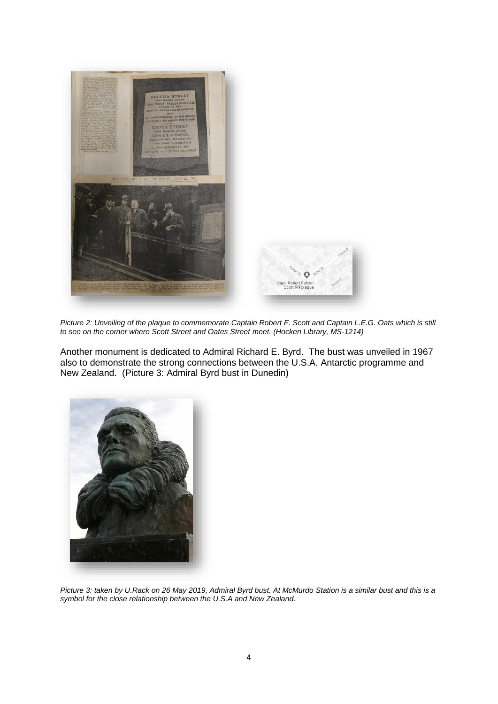

*Picture 2: Unveiling of the plaque to commemorate Captain Robert F. Scott and Captain L.E.G. Oats which is still to see on the corner where Scott Street and Oates Street meet. (Hocken Library, MS-1214)*

Another monument is dedicated to Admiral Richard E. Byrd. The bust was unveiled in 1967 also to demonstrate the strong connections between the U.S.A. Antarctic programme and New Zealand. (Picture 3: Admiral Byrd bust in Dunedin)



*Picture 3: taken by U.Rack on 26 May 2019, Admiral Byrd bust. At McMurdo Station is a similar bust and this is a symbol for the close relationship between the U.S.A and New Zealand.*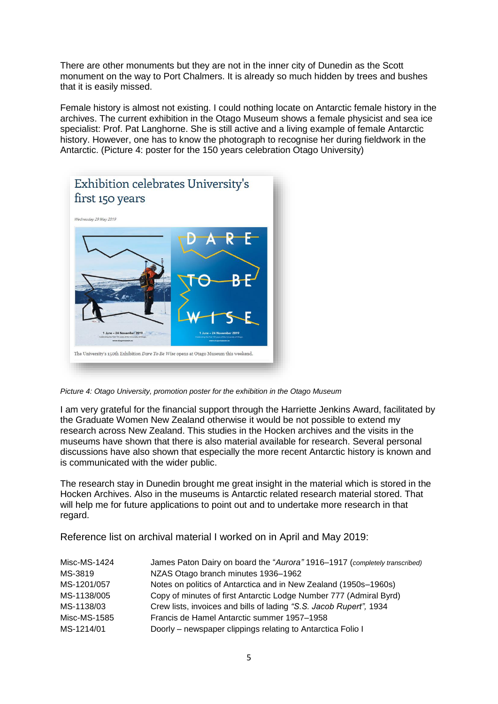There are other monuments but they are not in the inner city of Dunedin as the Scott monument on the way to Port Chalmers. It is already so much hidden by trees and bushes that it is easily missed.

Female history is almost not existing. I could nothing locate on Antarctic female history in the archives. The current exhibition in the Otago Museum shows a female physicist and sea ice specialist: Prof. Pat Langhorne. She is still active and a living example of female Antarctic history. However, one has to know the photograph to recognise her during fieldwork in the Antarctic. (Picture 4: poster for the 150 years celebration Otago University)



*Picture 4: Otago University, promotion poster for the exhibition in the Otago Museum*

I am very grateful for the financial support through the Harriette Jenkins Award, facilitated by the Graduate Women New Zealand otherwise it would be not possible to extend my research across New Zealand. This studies in the Hocken archives and the visits in the museums have shown that there is also material available for research. Several personal discussions have also shown that especially the more recent Antarctic history is known and is communicated with the wider public.

The research stay in Dunedin brought me great insight in the material which is stored in the Hocken Archives. Also in the museums is Antarctic related research material stored. That will help me for future applications to point out and to undertake more research in that regard.

Reference list on archival material I worked on in April and May 2019:

| Misc-MS-1424 | James Paton Dairy on board the "Aurora" 1916-1917 (completely transcribed) |
|--------------|----------------------------------------------------------------------------|
| MS-3819      | NZAS Otago branch minutes 1936-1962                                        |
| MS-1201/057  | Notes on politics of Antarctica and in New Zealand (1950s-1960s)           |
| MS-1138/005  | Copy of minutes of first Antarctic Lodge Number 777 (Admiral Byrd)         |
| MS-1138/03   | Crew lists, invoices and bills of lading "S.S. Jacob Rupert", 1934         |
| Misc-MS-1585 | Francis de Hamel Antarctic summer 1957-1958                                |
| MS-1214/01   | Doorly – newspaper clippings relating to Antarctica Folio I                |